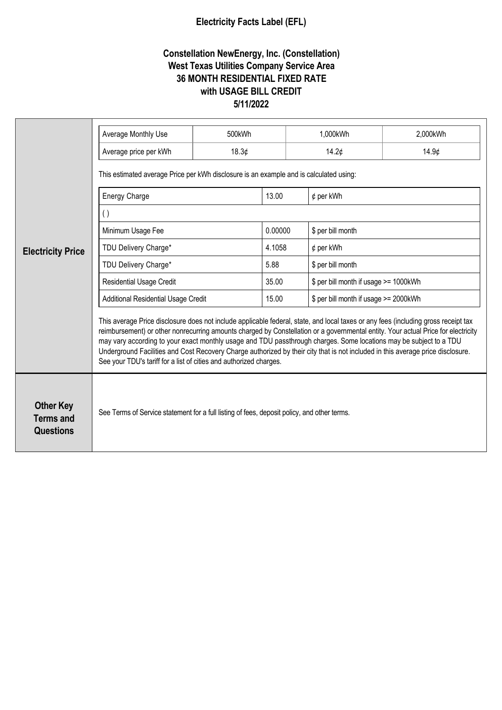## **Electricity Facts Label (EFL)**

## **Constellation NewEnergy, Inc. (Constellation) West Texas Utilities Company Service Area 36 MONTH RESIDENTIAL FIXED RATE with USAGE BILL CREDIT 5/11/2022**

| <b>Electricity Price</b>                                 | Average Monthly Use                                                                                                                                                                                                                                                                                                                                                                                                                                                                                                                                                                                    | 500kWh |         | 1,000kWh                              | 2,000kWh          |  |
|----------------------------------------------------------|--------------------------------------------------------------------------------------------------------------------------------------------------------------------------------------------------------------------------------------------------------------------------------------------------------------------------------------------------------------------------------------------------------------------------------------------------------------------------------------------------------------------------------------------------------------------------------------------------------|--------|---------|---------------------------------------|-------------------|--|
|                                                          | Average price per kWh                                                                                                                                                                                                                                                                                                                                                                                                                                                                                                                                                                                  | 18.3¢  |         | 14.2¢                                 | 14.9 <sub>¢</sub> |  |
|                                                          | This estimated average Price per kWh disclosure is an example and is calculated using:                                                                                                                                                                                                                                                                                                                                                                                                                                                                                                                 |        |         |                                       |                   |  |
|                                                          | <b>Energy Charge</b>                                                                                                                                                                                                                                                                                                                                                                                                                                                                                                                                                                                   |        | 13.00   | $¢$ per kWh                           |                   |  |
|                                                          | $\left( \ \right)$                                                                                                                                                                                                                                                                                                                                                                                                                                                                                                                                                                                     |        |         |                                       |                   |  |
|                                                          | Minimum Usage Fee                                                                                                                                                                                                                                                                                                                                                                                                                                                                                                                                                                                      |        | 0.00000 | \$ per bill month                     |                   |  |
|                                                          | TDU Delivery Charge*                                                                                                                                                                                                                                                                                                                                                                                                                                                                                                                                                                                   |        | 4.1058  | $¢$ per kWh                           |                   |  |
|                                                          | TDU Delivery Charge*                                                                                                                                                                                                                                                                                                                                                                                                                                                                                                                                                                                   |        | 5.88    | \$ per bill month                     |                   |  |
|                                                          | <b>Residential Usage Credit</b>                                                                                                                                                                                                                                                                                                                                                                                                                                                                                                                                                                        |        | 35.00   | \$ per bill month if usage >= 1000kWh |                   |  |
|                                                          | <b>Additional Residential Usage Credit</b>                                                                                                                                                                                                                                                                                                                                                                                                                                                                                                                                                             |        | 15.00   | \$ per bill month if usage >= 2000kWh |                   |  |
|                                                          | This average Price disclosure does not include applicable federal, state, and local taxes or any fees (including gross receipt tax<br>reimbursement) or other nonrecurring amounts charged by Constellation or a governmental entity. Your actual Price for electricity<br>may vary according to your exact monthly usage and TDU passthrough charges. Some locations may be subject to a TDU<br>Underground Facilities and Cost Recovery Charge authorized by their city that is not included in this average price disclosure.<br>See your TDU's tariff for a list of cities and authorized charges. |        |         |                                       |                   |  |
| <b>Other Key</b><br><b>Terms and</b><br><b>Questions</b> | See Terms of Service statement for a full listing of fees, deposit policy, and other terms.                                                                                                                                                                                                                                                                                                                                                                                                                                                                                                            |        |         |                                       |                   |  |